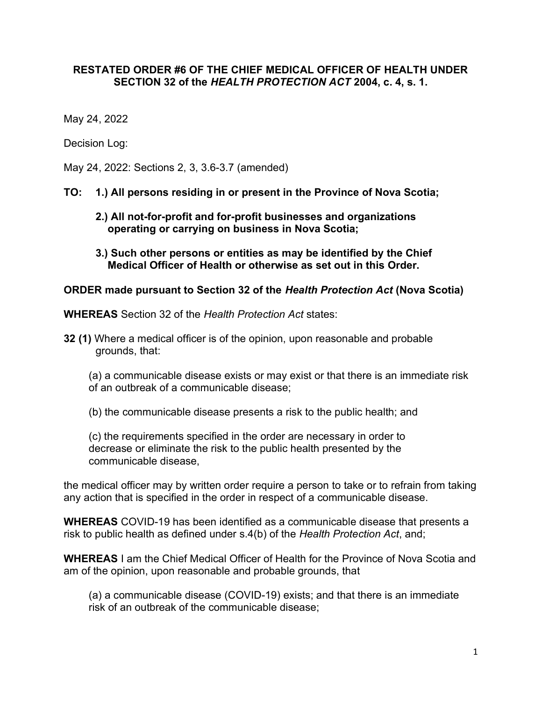## RESTATED ORDER #6 OF THE CHIEF MEDICAL OFFICER OF HEALTH UNDER SECTION 32 of the HEALTH PROTECTION ACT 2004, c. 4, s. 1.

May 24, 2022

Decision Log:

May 24, 2022: Sections 2, 3, 3.6-3.7 (amended)

#### TO: 1.) All persons residing in or present in the Province of Nova Scotia;

- 2.) All not-for-profit and for-profit businesses and organizations operating or carrying on business in Nova Scotia;
- 3.) Such other persons or entities as may be identified by the Chief Medical Officer of Health or otherwise as set out in this Order.

#### ORDER made pursuant to Section 32 of the Health Protection Act (Nova Scotia)

WHEREAS Section 32 of the Health Protection Act states:

32 (1) Where a medical officer is of the opinion, upon reasonable and probable grounds, that:

(a) a communicable disease exists or may exist or that there is an immediate risk of an outbreak of a communicable disease;

(b) the communicable disease presents a risk to the public health; and

(c) the requirements specified in the order are necessary in order to decrease or eliminate the risk to the public health presented by the communicable disease,

the medical officer may by written order require a person to take or to refrain from taking any action that is specified in the order in respect of a communicable disease.

WHEREAS COVID-19 has been identified as a communicable disease that presents a risk to public health as defined under s.4(b) of the Health Protection Act, and;

WHEREAS I am the Chief Medical Officer of Health for the Province of Nova Scotia and am of the opinion, upon reasonable and probable grounds, that

(a) a communicable disease (COVID-19) exists; and that there is an immediate risk of an outbreak of the communicable disease;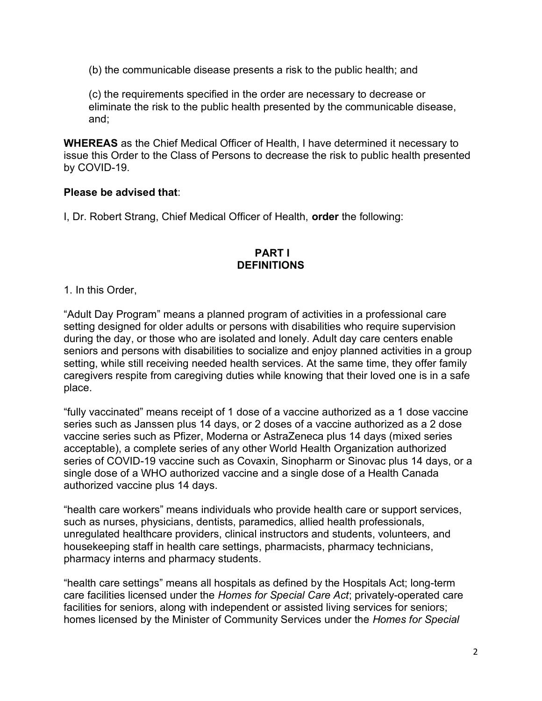(b) the communicable disease presents a risk to the public health; and

(c) the requirements specified in the order are necessary to decrease or eliminate the risk to the public health presented by the communicable disease, and;

WHEREAS as the Chief Medical Officer of Health, I have determined it necessary to issue this Order to the Class of Persons to decrease the risk to public health presented by COVID-19.

## Please be advised that:

I, Dr. Robert Strang, Chief Medical Officer of Health, **order** the following:

## PART I **DEFINITIONS**

#### 1. In this Order,

"Adult Day Program" means a planned program of activities in a professional care setting designed for older adults or persons with disabilities who require supervision during the day, or those who are isolated and lonely. Adult day care centers enable seniors and persons with disabilities to socialize and enjoy planned activities in a group setting, while still receiving needed health services. At the same time, they offer family caregivers respite from caregiving duties while knowing that their loved one is in a safe place.

"fully vaccinated" means receipt of 1 dose of a vaccine authorized as a 1 dose vaccine series such as Janssen plus 14 days, or 2 doses of a vaccine authorized as a 2 dose vaccine series such as Pfizer, Moderna or AstraZeneca plus 14 days (mixed series acceptable), a complete series of any other World Health Organization authorized series of COVID-19 vaccine such as Covaxin, Sinopharm or Sinovac plus 14 days, or a single dose of a WHO authorized vaccine and a single dose of a Health Canada authorized vaccine plus 14 days.

"health care workers" means individuals who provide health care or support services, such as nurses, physicians, dentists, paramedics, allied health professionals, unregulated healthcare providers, clinical instructors and students, volunteers, and housekeeping staff in health care settings, pharmacists, pharmacy technicians, pharmacy interns and pharmacy students.

"health care settings" means all hospitals as defined by the Hospitals Act; long-term care facilities licensed under the Homes for Special Care Act; privately-operated care facilities for seniors, along with independent or assisted living services for seniors; homes licensed by the Minister of Community Services under the Homes for Special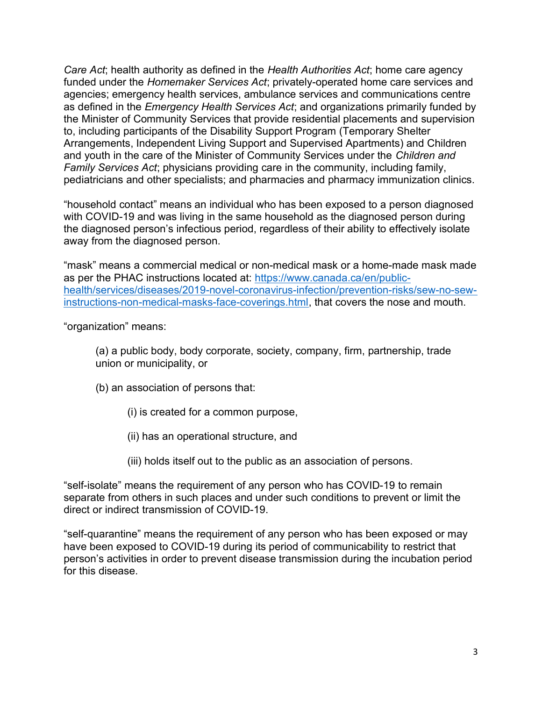Care Act; health authority as defined in the Health Authorities Act; home care agency funded under the Homemaker Services Act; privately-operated home care services and agencies; emergency health services, ambulance services and communications centre as defined in the Emergency Health Services Act; and organizations primarily funded by the Minister of Community Services that provide residential placements and supervision to, including participants of the Disability Support Program (Temporary Shelter Arrangements, Independent Living Support and Supervised Apartments) and Children and youth in the care of the Minister of Community Services under the Children and Family Services Act; physicians providing care in the community, including family, pediatricians and other specialists; and pharmacies and pharmacy immunization clinics.

"household contact" means an individual who has been exposed to a person diagnosed with COVID-19 and was living in the same household as the diagnosed person during the diagnosed person's infectious period, regardless of their ability to effectively isolate away from the diagnosed person.

"mask" means a commercial medical or non-medical mask or a home-made mask made as per the PHAC instructions located at: https://www.canada.ca/en/publichealth/services/diseases/2019-novel-coronavirus-infection/prevention-risks/sew-no-sewinstructions-non-medical-masks-face-coverings.html, that covers the nose and mouth.

"organization" means:

 (a) a public body, body corporate, society, company, firm, partnership, trade union or municipality, or

- (b) an association of persons that:
	- (i) is created for a common purpose,
	- (ii) has an operational structure, and
	- (iii) holds itself out to the public as an association of persons.

"self-isolate" means the requirement of any person who has COVID-19 to remain separate from others in such places and under such conditions to prevent or limit the direct or indirect transmission of COVID-19.

"self-quarantine" means the requirement of any person who has been exposed or may have been exposed to COVID-19 during its period of communicability to restrict that person's activities in order to prevent disease transmission during the incubation period for this disease.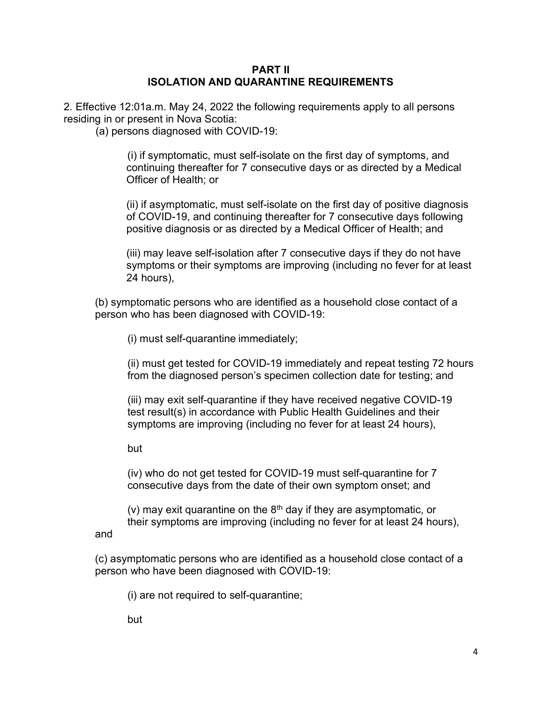## PART II ISOLATION AND QUARANTINE REQUIREMENTS

2. Effective 12:01a.m. May 24, 2022 the following requirements apply to all persons residing in or present in Nova Scotia:

(a) persons diagnosed with COVID-19:

 (i) if symptomatic, must self-isolate on the first day of symptoms, and continuing thereafter for 7 consecutive days or as directed by a Medical Officer of Health; or

(ii) if asymptomatic, must self-isolate on the first day of positive diagnosis of COVID-19, and continuing thereafter for 7 consecutive days following positive diagnosis or as directed by a Medical Officer of Health; and

(iii) may leave self-isolation after 7 consecutive days if they do not have symptoms or their symptoms are improving (including no fever for at least 24 hours),

(b) symptomatic persons who are identified as a household close contact of a person who has been diagnosed with COVID-19:

(i) must self-quarantine immediately;

 (ii) must get tested for COVID-19 immediately and repeat testing 72 hours from the diagnosed person's specimen collection date for testing; and

 (iii) may exit self-quarantine if they have received negative COVID-19 test result(s) in accordance with Public Health Guidelines and their symptoms are improving (including no fever for at least 24 hours),

but

and

 (iv) who do not get tested for COVID-19 must self-quarantine for 7 consecutive days from the date of their own symptom onset; and

(v) may exit quarantine on the  $8<sup>th</sup>$  day if they are asymptomatic, or their symptoms are improving (including no fever for at least 24 hours),

(c) asymptomatic persons who are identified as a household close contact of a person who have been diagnosed with COVID-19:

(i) are not required to self-quarantine;

but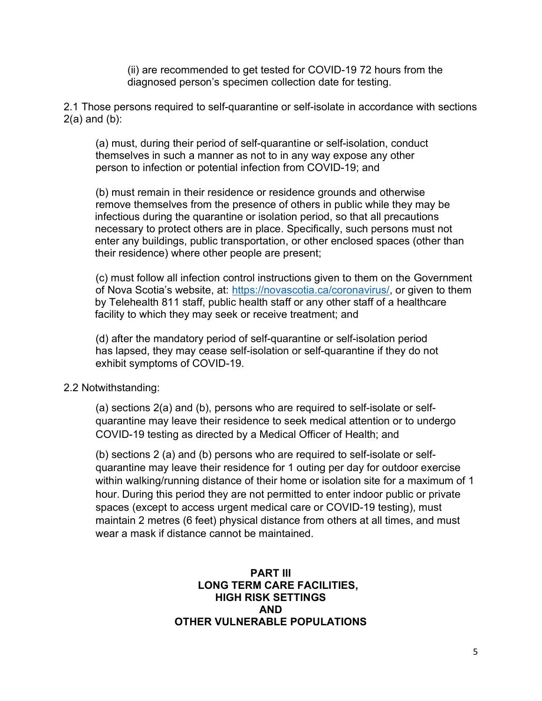(ii) are recommended to get tested for COVID-19 72 hours from the diagnosed person's specimen collection date for testing.

2.1 Those persons required to self-quarantine or self-isolate in accordance with sections  $2(a)$  and  $(b)$ :

 (a) must, during their period of self-quarantine or self-isolation, conduct themselves in such a manner as not to in any way expose any other person to infection or potential infection from COVID-19; and

 (b) must remain in their residence or residence grounds and otherwise remove themselves from the presence of others in public while they may be infectious during the quarantine or isolation period, so that all precautions necessary to protect others are in place. Specifically, such persons must not enter any buildings, public transportation, or other enclosed spaces (other than their residence) where other people are present;

 (c) must follow all infection control instructions given to them on the Government of Nova Scotia's website, at: https://novascotia.ca/coronavirus/, or given to them by Telehealth 811 staff, public health staff or any other staff of a healthcare facility to which they may seek or receive treatment; and

 (d) after the mandatory period of self-quarantine or self-isolation period has lapsed, they may cease self-isolation or self-quarantine if they do not exhibit symptoms of COVID-19.

2.2 Notwithstanding:

 (a) sections 2(a) and (b), persons who are required to self-isolate or self quarantine may leave their residence to seek medical attention or to undergo COVID-19 testing as directed by a Medical Officer of Health; and

 (b) sections 2 (a) and (b) persons who are required to self-isolate or self quarantine may leave their residence for 1 outing per day for outdoor exercise within walking/running distance of their home or isolation site for a maximum of 1 hour. During this period they are not permitted to enter indoor public or private spaces (except to access urgent medical care or COVID-19 testing), must maintain 2 metres (6 feet) physical distance from others at all times, and must wear a mask if distance cannot be maintained.

## PART III LONG TERM CARE FACILITIES, HIGH RISK SETTINGS AND OTHER VULNERABLE POPULATIONS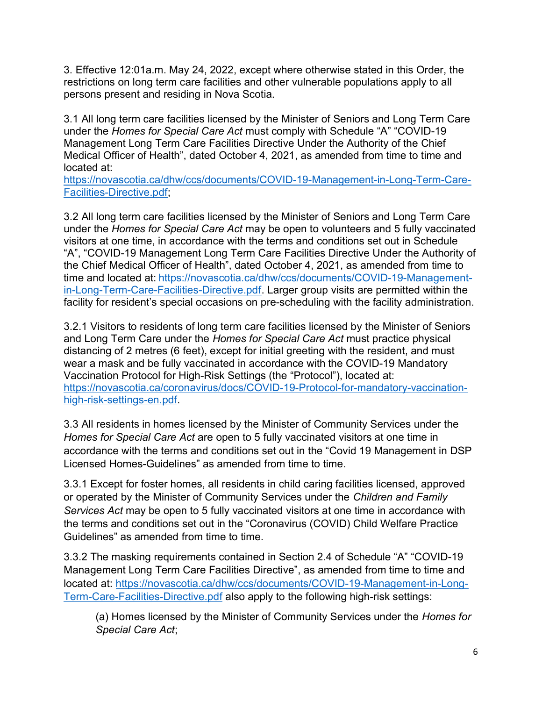3. Effective 12:01a.m. May 24, 2022, except where otherwise stated in this Order, the restrictions on long term care facilities and other vulnerable populations apply to all persons present and residing in Nova Scotia.

3.1 All long term care facilities licensed by the Minister of Seniors and Long Term Care under the Homes for Special Care Act must comply with Schedule "A" "COVID-19 Management Long Term Care Facilities Directive Under the Authority of the Chief Medical Officer of Health", dated October 4, 2021, as amended from time to time and located at:

https://novascotia.ca/dhw/ccs/documents/COVID-19-Management-in-Long-Term-Care-Facilities-Directive.pdf;

3.2 All long term care facilities licensed by the Minister of Seniors and Long Term Care under the Homes for Special Care Act may be open to volunteers and 5 fully vaccinated visitors at one time, in accordance with the terms and conditions set out in Schedule "A", "COVID-19 Management Long Term Care Facilities Directive Under the Authority of the Chief Medical Officer of Health", dated October 4, 2021, as amended from time to time and located at: https://novascotia.ca/dhw/ccs/documents/COVID-19-Managementin-Long-Term-Care-Facilities-Directive.pdf. Larger group visits are permitted within the facility for resident's special occasions on pre-scheduling with the facility administration.

3.2.1 Visitors to residents of long term care facilities licensed by the Minister of Seniors and Long Term Care under the Homes for Special Care Act must practice physical distancing of 2 metres (6 feet), except for initial greeting with the resident, and must wear a mask and be fully vaccinated in accordance with the COVID-19 Mandatory Vaccination Protocol for High-Risk Settings (the "Protocol"), located at: https://novascotia.ca/coronavirus/docs/COVID-19-Protocol-for-mandatory-vaccinationhigh-risk-settings-en.pdf.

3.3 All residents in homes licensed by the Minister of Community Services under the Homes for Special Care Act are open to 5 fully vaccinated visitors at one time in accordance with the terms and conditions set out in the "Covid 19 Management in DSP Licensed Homes-Guidelines" as amended from time to time.

3.3.1 Except for foster homes, all residents in child caring facilities licensed, approved or operated by the Minister of Community Services under the Children and Family Services Act may be open to 5 fully vaccinated visitors at one time in accordance with the terms and conditions set out in the "Coronavirus (COVID) Child Welfare Practice Guidelines" as amended from time to time.

3.3.2 The masking requirements contained in Section 2.4 of Schedule "A" "COVID-19 Management Long Term Care Facilities Directive", as amended from time to time and located at: https://novascotia.ca/dhw/ccs/documents/COVID-19-Management-in-Long-Term-Care-Facilities-Directive.pdf also apply to the following high-risk settings:

 (a) Homes licensed by the Minister of Community Services under the Homes for Special Care Act;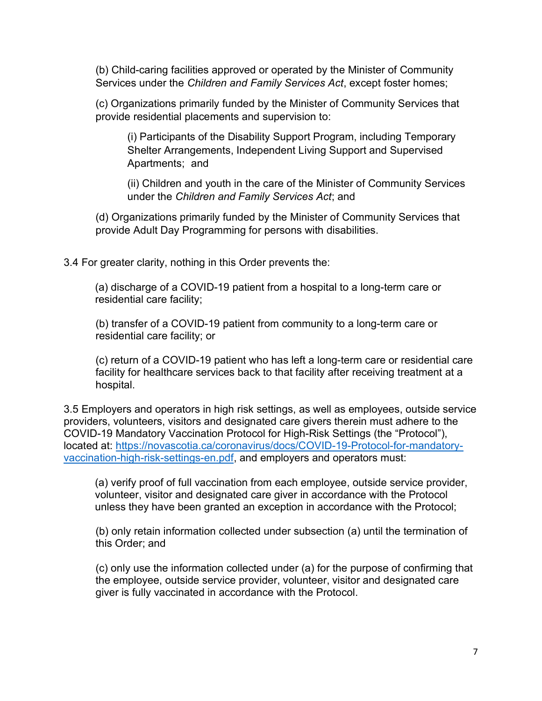(b) Child-caring facilities approved or operated by the Minister of Community Services under the Children and Family Services Act, except foster homes;

 (c) Organizations primarily funded by the Minister of Community Services that provide residential placements and supervision to:

 (i) Participants of the Disability Support Program, including Temporary Shelter Arrangements, Independent Living Support and Supervised Apartments; and

 (ii) Children and youth in the care of the Minister of Community Services under the Children and Family Services Act; and

 (d) Organizations primarily funded by the Minister of Community Services that provide Adult Day Programming for persons with disabilities.

3.4 For greater clarity, nothing in this Order prevents the:

 (a) discharge of a COVID-19 patient from a hospital to a long-term care or residential care facility;

 (b) transfer of a COVID-19 patient from community to a long-term care or residential care facility; or

 (c) return of a COVID-19 patient who has left a long-term care or residential care facility for healthcare services back to that facility after receiving treatment at a hospital.

3.5 Employers and operators in high risk settings, as well as employees, outside service providers, volunteers, visitors and designated care givers therein must adhere to the COVID-19 Mandatory Vaccination Protocol for High-Risk Settings (the "Protocol"), located at: https://novascotia.ca/coronavirus/docs/COVID-19-Protocol-for-mandatoryvaccination-high-risk-settings-en.pdf, and employers and operators must:

(a) verify proof of full vaccination from each employee, outside service provider, volunteer, visitor and designated care giver in accordance with the Protocol unless they have been granted an exception in accordance with the Protocol;

 (b) only retain information collected under subsection (a) until the termination of this Order; and

 (c) only use the information collected under (a) for the purpose of confirming that the employee, outside service provider, volunteer, visitor and designated care giver is fully vaccinated in accordance with the Protocol.